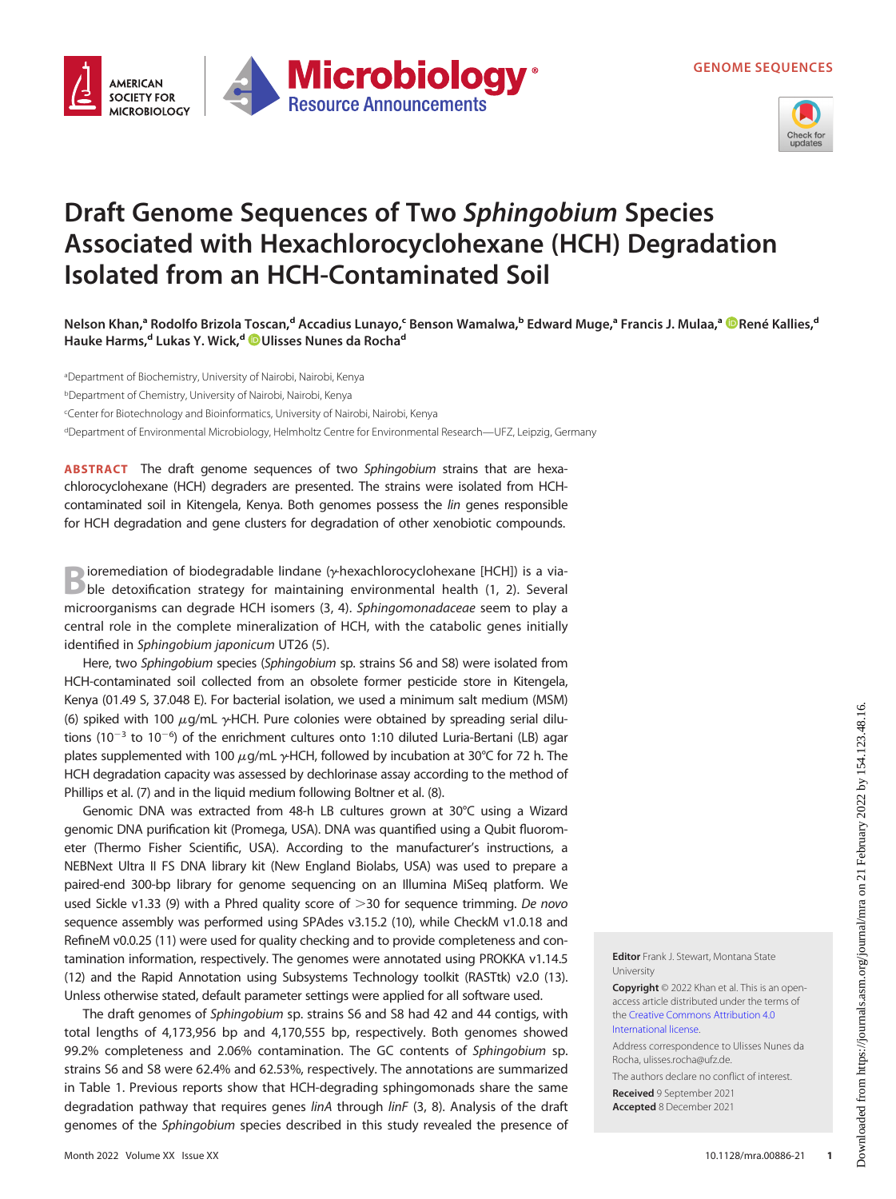GENOME SEQUENCES





## Draft Genome Sequences of Two Sphingobium Species Associated with Hexachlorocyclohexane (HCH) Degradation Isolated from an HCH-Contaminated Soil

Nelson Khan,ª Rodolfo Brizola Toscan,<sup>d</sup> Accadius Lunayo,<sup>c</sup> Benson Wamalwa,<sup>b</sup> Edward Muge,ª Francis J. Mulaa,ª ®[René Kallies](https://orcid.org/0000-0002-9195-0276),<sup>d</sup> Hauke Harms,<sup>d</sup> Lukas Y. Wick,<sup>d</sup> ©[Ulisses Nunes da Rocha](https://orcid.org/0000-0001-6972-6692)<sup>d</sup>

aDepartment of Biochemistry, University of Nairobi, Nairobi, Kenya bDepartment of Chemistry, University of Nairobi, Nairobi, Kenya c Center for Biotechnology and Bioinformatics, University of Nairobi, Nairobi, Kenya dDepartment of Environmental Microbiology, Helmholtz Centre for Environmental Research—UFZ, Leipzig, Germany

ABSTRACT The draft genome sequences of two Sphingobium strains that are hexachlorocyclohexane (HCH) degraders are presented. The strains were isolated from HCHcontaminated soil in Kitengela, Kenya. Both genomes possess the lin genes responsible for HCH degradation and gene clusters for degradation of other xenobiotic compounds.

**Bioremediation of biodegradable lindane** (y-hexachlorocyclohexane [HCH]) is a via-<br>
ble detoxification strategy for maintaining environmental health ([1](#page-2-0), [2\)](#page-2-1). Several microorganisms can degrade HCH isomers [\(3,](#page-2-2) [4\)](#page-2-3). Sphingomonadaceae seem to play a central role in the complete mineralization of HCH, with the catabolic genes initially identified in Sphingobium japonicum UT26 [\(5\)](#page-2-4).

Here, two Sphingobium species (Sphingobium sp. strains S6 and S8) were isolated from HCH-contaminated soil collected from an obsolete former pesticide store in Kitengela, Kenya (01.49 S, 37.048 E). For bacterial isolation, we used a minimum salt medium (MSM) [\(6\)](#page-2-5) spiked with 100  $\mu$ g/mL  $\gamma$ HCH. Pure colonies were obtained by spreading serial dilutions (10 $^{-3}$  to 10 $^{-6}$ ) of the enrichment cultures onto 1:10 diluted Luria-Bertani (LB) agar plates supplemented with 100  $\mu$ g/mL  $\gamma$ HCH, followed by incubation at 30°C for 72 h. The HCH degradation capacity was assessed by dechlorinase assay according to the method of Phillips et al. ([7\)](#page-2-6) and in the liquid medium following Boltner et al. ([8](#page-2-7)).

Genomic DNA was extracted from 48-h LB cultures grown at 30°C using a Wizard genomic DNA purification kit (Promega, USA). DNA was quantified using a Qubit fluorometer (Thermo Fisher Scientific, USA). According to the manufacturer's instructions, a NEBNext Ultra II FS DNA library kit (New England Biolabs, USA) was used to prepare a paired-end 300-bp library for genome sequencing on an Illumina MiSeq platform. We used Sickle v1.33 ([9](#page-2-8)) with a Phred quality score of  $>$ 30 for sequence trimming. De novo sequence assembly was performed using SPAdes v3.15.2 [\(10\)](#page-2-9), while CheckM v1.0.18 and RefineM v0.0.25 ([11\)](#page-2-10) were used for quality checking and to provide completeness and contamination information, respectively. The genomes were annotated using PROKKA v1.14.5 [\(12](#page-2-11)) and the Rapid Annotation using Subsystems Technology toolkit (RASTtk) v2.0 [\(13\)](#page-2-12). Unless otherwise stated, default parameter settings were applied for all software used.

The draft genomes of Sphingobium sp. strains S6 and S8 had 42 and 44 contigs, with total lengths of 4,173,956 bp and 4,170,555 bp, respectively. Both genomes showed 99.2% completeness and 2.06% contamination. The GC contents of Sphingobium sp. strains S6 and S8 were 62.4% and 62.53%, respectively. The annotations are summarized in [Table 1.](#page-1-0) Previous reports show that HCH-degrading sphingomonads share the same degradation pathway that requires genes linA through linF [\(3,](#page-2-2) [8](#page-2-7)). Analysis of the draft genomes of the Sphingobium species described in this study revealed the presence of Editor Frank J. Stewart, Montana State University

Copyright © 2022 Khan et al. This is an openaccess article distributed under the terms of the [Creative Commons Attribution 4.0](https://creativecommons.org/licenses/by/4.0/) [International license](https://creativecommons.org/licenses/by/4.0/).

Address correspondence to Ulisses Nunes da Rocha, ulisses.rocha@ufz.de.

The authors declare no conflict of interest. Received 9 September 2021 Accepted 8 December 2021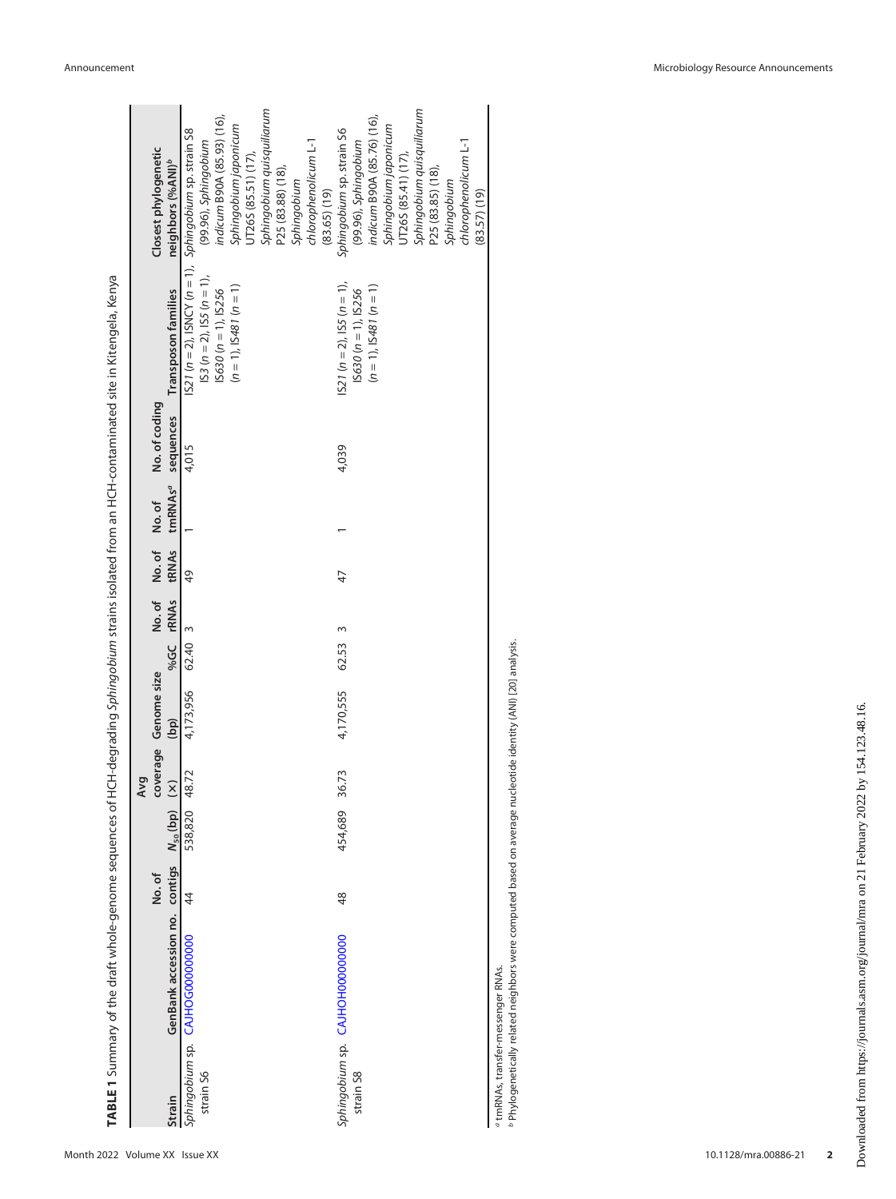<span id="page-1-0"></span>

|           |                                                    |                           |         | par                    |                      |         |                      |                                               |                                  |                                                                |
|-----------|----------------------------------------------------|---------------------------|---------|------------------------|----------------------|---------|----------------------|-----------------------------------------------|----------------------------------|----------------------------------------------------------------|
|           |                                                    | No. of                    |         |                        | coverage Genome size |         | No. of No. of No. of | No. of coding                                 |                                  | Closest phylogenetic                                           |
| Strain    | GenBank accession no. contigs N <sub>50</sub> (bp) |                           |         | $\widehat{\mathsf{x}}$ | (bp)                 |         |                      | %GC rRNAs tRNAs tmRNAs <sup>a</sup> sequences | Transposon families              | neighbors (%ANI) <sup>6</sup>                                  |
|           | Sphingobium sp. CAJHOG000000000                    | $\overline{\overline{4}}$ | 538,820 | 48.72                  | 4,173,956            | 62.40 3 | 49                   | 4,015                                         |                                  | IS21 ( $n = 2$ ), ISNCY ( $n = 1$ ), Sphingobium sp. strain S8 |
| strain S6 |                                                    |                           |         |                        |                      |         |                      |                                               | $ S3 (n = 2),  S5 (n = 1),$      | (99.96), Sphingobium                                           |
|           |                                                    |                           |         |                        |                      |         |                      |                                               | $15630 (n = 1), 15256$           | indicum B90A (85.93) (16),                                     |
|           |                                                    |                           |         |                        |                      |         |                      |                                               | $(n = 1)$ , $ S481 (n = 1)$      | Sphingobium japonicum                                          |
|           |                                                    |                           |         |                        |                      |         |                      |                                               |                                  | UT26S (85.51) (17),                                            |
|           |                                                    |                           |         |                        |                      |         |                      |                                               |                                  | Sphingobium quisquiliarum                                      |
|           |                                                    |                           |         |                        |                      |         |                      |                                               |                                  | P25 (83.88) (18),                                              |
|           |                                                    |                           |         |                        |                      |         |                      |                                               |                                  | Sphingobium                                                    |
|           |                                                    |                           |         |                        |                      |         |                      |                                               |                                  | chlorophenolicum L-1                                           |
|           |                                                    |                           |         |                        |                      |         |                      |                                               |                                  | (83.65) (19)                                                   |
|           | Sphingobium sp. CAJHOH000000000                    | 48                        | 454,689 | 36.73                  | 4,170,555            | 62.53   | 47                   | 4,039                                         | $1527 (n = 2)$ , $155 (n = 1)$ , | Sphingobium sp. strain S6                                      |
| strain S8 |                                                    |                           |         |                        |                      |         |                      |                                               | $ S630 (n = 1),  S256$           | (99.96), Sphingobium                                           |
|           |                                                    |                           |         |                        |                      |         |                      |                                               | $(n = 1)$ , $ S487(n = 1)$       | indicum B90A (85.76) (16).                                     |
|           |                                                    |                           |         |                        |                      |         |                      |                                               |                                  | Sphingobium japonicum                                          |
|           |                                                    |                           |         |                        |                      |         |                      |                                               |                                  | UT26S (85.41) (17),                                            |
|           |                                                    |                           |         |                        |                      |         |                      |                                               |                                  | Sphingobium quisquiliarum                                      |
|           |                                                    |                           |         |                        |                      |         |                      |                                               |                                  | P25 (83.85) (18),                                              |
|           |                                                    |                           |         |                        |                      |         |                      |                                               |                                  | Sphingobium                                                    |
|           |                                                    |                           |         |                        |                      |         |                      |                                               |                                  | chlorophenolicum L-1                                           |
|           |                                                    |                           |         |                        |                      |         |                      |                                               |                                  | (83.57) (19)                                                   |

 tmRNAs, transfer-messenger RNAs. Phylogenetically related neighbors were computed based on average nucleotide identity (ANI) [\[20\]](#page-2-17) analysis.

ab

TABLE 1 Summary of the draft whole-genome sequences of HCH-degrading Sphingobium strains isolated from an HCH-contaminated site in Kitengela, Kenya

TABLE 1 Summary of the draft whole-genome sequences of HCH-degrading Sphingobium strains isolated from an HCH-contaminated site in Kitengela, Kenya